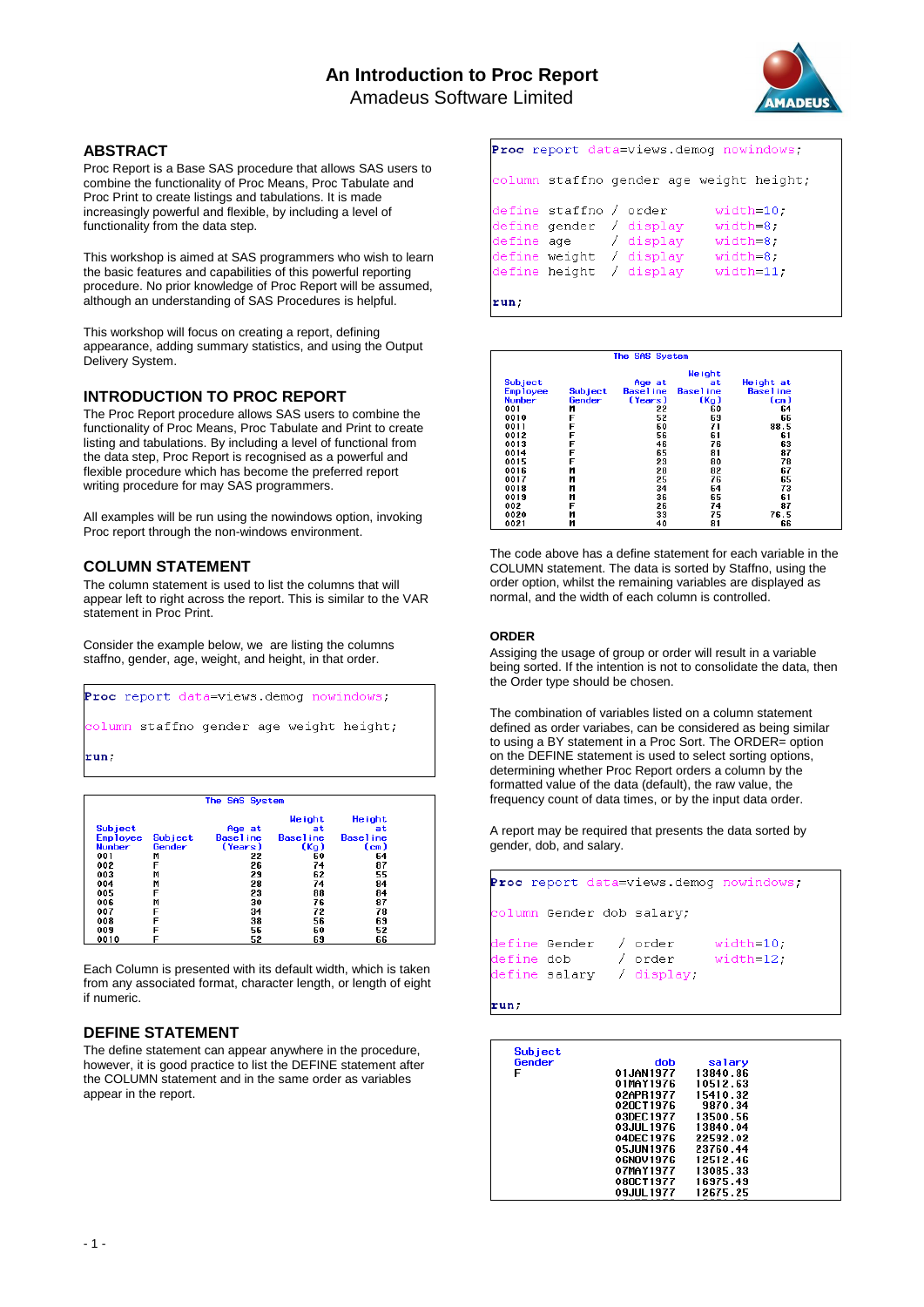# **An Introduction to Proc Report** Amadeus Software Limited



# **ABSTRACT**

Proc Report is a Base SAS procedure that allows SAS users to combine the functionality of Proc Means, Proc Tabulate and Proc Print to create listings and tabulations. It is made increasingly powerful and flexible, by including a level of functionality from the data step.

This workshop is aimed at SAS programmers who wish to learn the basic features and capabilities of this powerful reporting procedure. No prior knowledge of Proc Report will be assumed, although an understanding of SAS Procedures is helpful.

This workshop will focus on creating a report, defining appearance, adding summary statistics, and using the Output Delivery System.

# **INTRODUCTION TO PROC REPORT**

The Proc Report procedure allows SAS users to combine the functionality of Proc Means, Proc Tabulate and Print to create listing and tabulations. By including a level of functional from the data step, Proc Report is recognised as a powerful and flexible procedure which has become the preferred report writing procedure for may SAS programmers.

All examples will be run using the nowindows option, invoking Proc report through the non-windows environment.

## **COLUMN STATEMENT**

The column statement is used to list the columns that will appear left to right across the report. This is similar to the VAR statement in Proc Print.

Consider the example below, we are listing the columns staffno, gender, age, weight, and height, in that order.

```
Proc report data=views.demog nowindows;
column staffno gender age weight height;
run;
```

|                 |                |            | <b>Weight</b>     | <b>Height</b>    |
|-----------------|----------------|------------|-------------------|------------------|
| <b>Subject</b>  |                | Age at     | at                | at               |
| <b>Employee</b> | <b>Subject</b> | Base I ine | <b>Basel</b> ine  | <b>Basel</b> ine |
| <b>Number</b>   | Gender         | (Years)    | (K <sub>Q</sub> ) | (cm)             |
| 001             | M              | 22         | 60                | 64               |
| 002             | F              | 26         | 74                | 87               |
| 003             | M              | 29         | 62                | 55               |
| 004             | M              | 28         | 74                | 84               |
| 005             | F              | 23         | 88                | 84               |
| 006             | M              | 30         | 76                | 87               |
| 007             | F              | 34         | 72                | 78               |
| 008             | F              | 38         | 56                | 69               |
| 009             | F              | 56         | 60                | 52               |
| 0010            |                | 52         | 69                | 66               |

Each Column is presented with its default width, which is taken from any associated format, character length, or length of eight if numeric.

# **DEFINE STATEMENT**

The define statement can appear anywhere in the procedure, however, it is good practice to list the DEFINE statement after the COLUMN statement and in the same order as variables appear in the report.

|      |                        | <b>Proc</b> report data=views demog nowindows;                                                                                                                           |
|------|------------------------|--------------------------------------------------------------------------------------------------------------------------------------------------------------------------|
|      |                        | column staffno gender age weight height;                                                                                                                                 |
|      | define staffno / order | $width=10;$<br>define gender / display<br>width=8.<br>define age / display<br>width=8.<br>define weight / display<br>width=8.<br>define height / display<br>$width=11$ . |
| run; |                        |                                                                                                                                                                          |

| The SAS System  |         |            |                   |                   |  |
|-----------------|---------|------------|-------------------|-------------------|--|
|                 |         |            | <b>Weight</b>     |                   |  |
| <b>Subject</b>  |         | Age at     | at                | Height at         |  |
| <b>Employee</b> | Subject | Base I ine | <b>Basel</b> ine  | <b>Basel</b> ine  |  |
| <b>Number</b>   | Gender  | (Years)    | (K <sub>Q</sub> ) | (c <sub>m</sub> ) |  |
| 001             | М       | 22         | 60                | 64                |  |
| 0010            | F       | 52         | 69                | 66                |  |
| 0011            | F       | 60         | 71                | 88.5              |  |
| 0012            | F       | 56         | 61                | 61                |  |
| 0013            |         | 46         | 76                | 63                |  |
| 0014            | F       | 65         | 81                | 87                |  |
| 0015            |         | 23         | 80                | 78                |  |
| 0016            | M       | 28         | 82                | 67                |  |
| 0017            | M       | 25         | 76                | 65                |  |
| 0018            | M       | 34         | 64                | 73                |  |
| 0019            | M       | 36         | 65                | 61                |  |
| 002             | F       | 26         | 74                | 87                |  |
| 0020            | M       | 33         | 75                | 76.5              |  |
| 0021            | M       | 40         | 81                | 66                |  |

The code above has a define statement for each variable in the COLUMN statement. The data is sorted by Staffno, using the order option, whilst the remaining variables are displayed as normal, and the width of each column is controlled.

## **ORDER**

Assiging the usage of group or order will result in a variable being sorted. If the intention is not to consolidate the data, then the Order type should be chosen.

The combination of variables listed on a column statement defined as order variabes, can be considered as being similar to using a BY statement in a Proc Sort. The ORDER= option on the DEFINE statement is used to select sorting options, determining whether Proc Report orders a column by the formatted value of the data (default), the raw value, the frequency count of data times, or by the input data order.

A report may be required that presents the data sorted by gender, dob, and salary.

|  |                                                                                         | Proc report data=views.demog nowindows; |
|--|-----------------------------------------------------------------------------------------|-----------------------------------------|
|  | column Gender dob salary;                                                               |                                         |
|  | define Gender / order<br>define $d$ ob / order $width=12$ ;<br>define salary / display; | width=10.                               |

run,

| Subject |             |          |  |
|---------|-------------|----------|--|
| Gender  | dob         | salary   |  |
| F       | 01JAN1977   | 13840.86 |  |
|         | 01MAY1976   | 10512.63 |  |
|         | 02APR1977   | 15410.32 |  |
|         | 020CT1976   | 9870.34  |  |
|         | 03DFC1977   | 13500.56 |  |
|         | 03.IUL 1976 | 13840.04 |  |
|         | 04DEC1976   | 22592.02 |  |
|         | 05JUN1976   | 23760.44 |  |
|         | 06NOV1976   | 12512.46 |  |
|         | 07MAY1977   | 13085.33 |  |
|         | 080CT1977   | 16975.49 |  |
|         | 09JUL1977   | 12675.25 |  |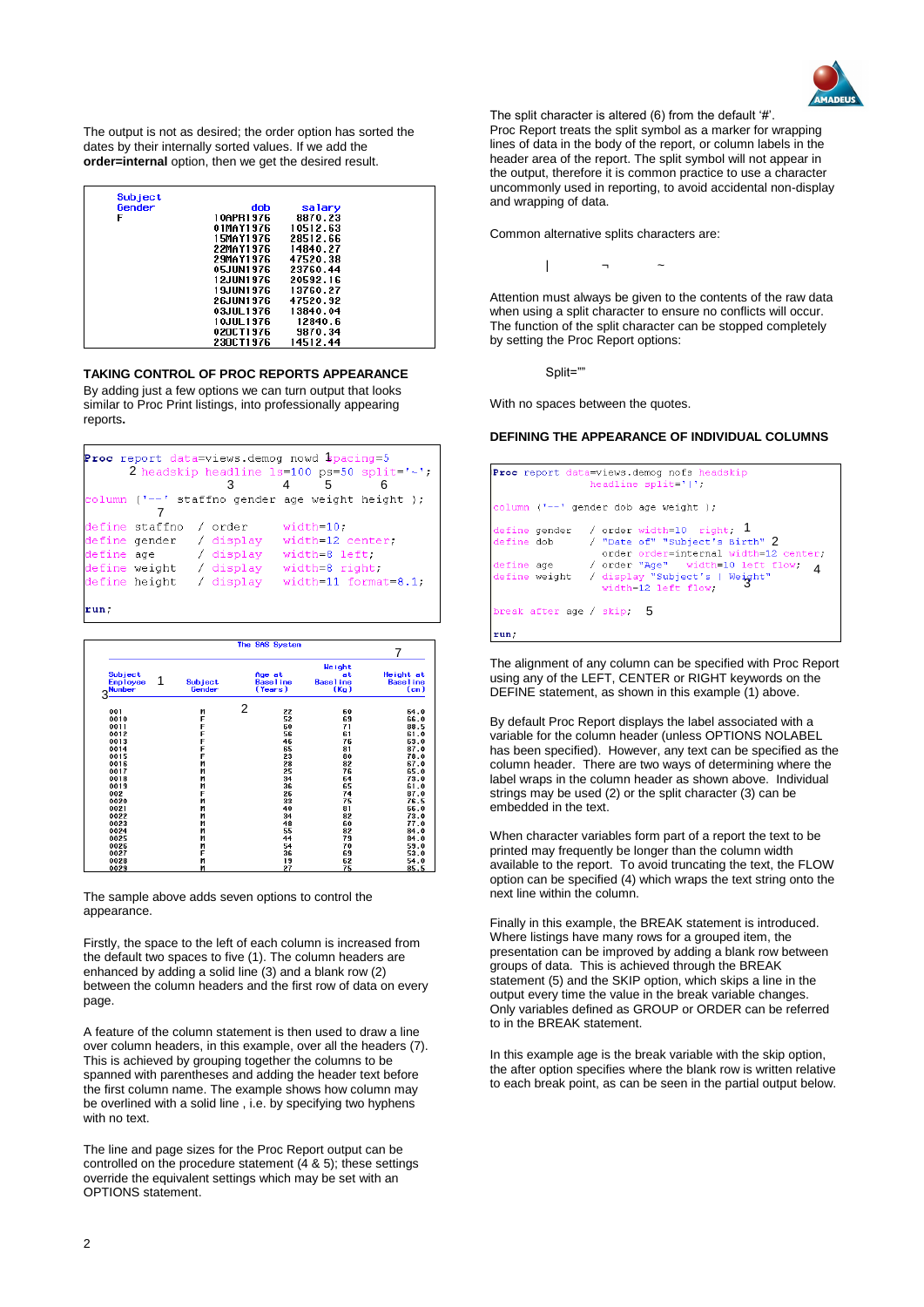

The output is not as desired; the order option has sorted the dates by their internally sorted values. If we add the **order=internal** option, then we get the desired result.

| Subject |                  |          |  |
|---------|------------------|----------|--|
| Gender  | dob              | salary   |  |
| F       | 10APR1976        | 8870.23  |  |
|         | 01MAY1976        | 10512.63 |  |
|         | 15MAY1976        | 28512.66 |  |
|         | <b>22MAY1976</b> | 14840.27 |  |
|         | <b>29MAY1976</b> | 47520.38 |  |
|         | 05.IIIN1976      | 23760.44 |  |
|         | 12.IIIN1976      | 20592.16 |  |
|         | 19JUN1976        | 13760.27 |  |
|         | <b>26JUN1976</b> | 47520.92 |  |
|         | 03JUL 1976       | 13840.04 |  |
|         | 10JUL 1976       | 12840.6  |  |
|         | 020CT1976        | 9870.34  |  |
|         | 230CT1976        | 14512.44 |  |

**TAKING CONTROL OF PROC REPORTS APPEARANCE**

By adding just a few options we can turn output that looks similar to Proc Print listings, into professionally appearing reports**.**

|            |                         | <b>Proc</b> report data=views demog nowd spacing=5    |                  |                                               |
|------------|-------------------------|-------------------------------------------------------|------------------|-----------------------------------------------|
|            |                         |                                                       |                  | 2 headskip headline $1s=100$ ps=50 split='~'; |
|            |                         | З                                                     | 5                |                                               |
|            |                         | column $(1 - -1)$ staffno gender age weight height ); |                  |                                               |
|            |                         |                                                       |                  |                                               |
|            | define staffno          | / order                                               | $width=10$ ;     |                                               |
|            | define gender / display |                                                       | width=12 center; |                                               |
| define age |                         | / display                                             | width=8 left.    |                                               |
|            |                         | define weight / display                               | width=8 right;   |                                               |
|            |                         | define height / display                               |                  | width=11 format=8.1;                          |
|            |                         |                                                       |                  |                                               |
| run:       |                         |                                                       |                  |                                               |

|                                                       |                   | The SAS System |                            |                                                             | 7                                                 |
|-------------------------------------------------------|-------------------|----------------|----------------------------|-------------------------------------------------------------|---------------------------------------------------|
| Subject<br>1<br><b>Employee</b><br><b>Number</b><br>3 | Subject<br>Gender | Age at         | <b>Baseline</b><br>(Years) | <b>Weight</b><br>at<br><b>Baseline</b><br>(K <sub>g</sub> ) | Height at<br><b>Baseline</b><br>(c <sub>m</sub> ) |
|                                                       |                   | 2              |                            |                                                             |                                                   |
| 001                                                   | M<br>F            |                | 22                         | 60                                                          | 64.0                                              |
| 0010<br>0011                                          | F                 |                | 52<br>60                   | 69<br>71                                                    | 66.0<br>88.5                                      |
| 0012                                                  | F                 |                | 56                         | 61                                                          | 61.0                                              |
| 0013                                                  | F                 |                | 46                         | 76                                                          | 63.0                                              |
| 0014                                                  | F                 |                | 65                         | 81                                                          | 87.0                                              |
| 0015                                                  | F                 |                | 23                         | 80                                                          | 78.0                                              |
| 0016                                                  | M                 |                | 28                         | 82                                                          | 67.0                                              |
| 0017                                                  | M                 |                | 25                         | 76                                                          | 65.0                                              |
| 0018                                                  | M                 |                | 34                         | 64                                                          | 73.0                                              |
| 0019                                                  | M                 |                | 36                         | 65                                                          | 61.0                                              |
| 002                                                   | F                 |                | 26                         | 74                                                          | 87.0                                              |
| 0020                                                  | M                 |                | 33                         | 75                                                          | 76.5                                              |
| 0021                                                  | M                 |                | 40                         | 81                                                          | 66.0                                              |
| 0022                                                  | M                 |                | 34                         | 82                                                          | 73.0                                              |
| 0023                                                  | M                 |                | 48                         | 60                                                          | 77.0                                              |
| 0024                                                  | M                 |                | 55                         | 82                                                          | 84.0                                              |
| 0025                                                  | M                 |                | 44                         | 79                                                          | 84.0                                              |
| 0026                                                  | M                 |                | 54                         | 70                                                          | 59.0                                              |
| 0027                                                  | F                 |                | 36                         | 69                                                          | 53.0                                              |
| 0028                                                  | M                 |                | 19                         | 62                                                          | 54.0                                              |
| 0029                                                  | M                 |                | 27                         | 75                                                          | 85.5                                              |

The sample above adds seven options to control the appearance.

Firstly, the space to the left of each column is increased from the default two spaces to five (1). The column headers are enhanced by adding a solid line (3) and a blank row (2) between the column headers and the first row of data on every page.

A feature of the column statement is then used to draw a line over column headers, in this example, over all the headers (7). This is achieved by grouping together the columns to be spanned with parentheses and adding the header text before the first column name. The example shows how column may be overlined with a solid line , i.e. by specifying two hyphens with no text.

The line and page sizes for the Proc Report output can be controlled on the procedure statement (4 & 5); these settings override the equivalent settings which may be set with an OPTIONS statement.

The split character is altered (6) from the default '#'. Proc Report treats the split symbol as a marker for wrapping lines of data in the body of the report, or column labels in the header area of the report. The split symbol will not appear in the output, therefore it is common practice to use a character uncommonly used in reporting, to avoid accidental non-display and wrapping of data.

Common alternative splits characters are:

| ¬ ~

Attention must always be given to the contents of the raw data when using a split character to ensure no conflicts will occur. The function of the split character can be stopped completely by setting the Proc Report options:

Split=""

With no spaces between the quotes.

#### **DEFINING THE APPEARANCE OF INDIVIDUAL COLUMNS**

|                           | Proc report data=views demog nofs headskip<br>headline $split='$                                                               |
|---------------------------|--------------------------------------------------------------------------------------------------------------------------------|
|                           | column $('--' gender dob age weight)$ ;                                                                                        |
|                           | define gender / order width=10 right; 1<br>define dob / "Date of" "Subject's Birth" 2<br>order order=internal width=12 center. |
|                           | define age / order "Age" width=10 left flow,<br>4<br>define weight / display "Subject's   Weight"<br>width=12 left flow;       |
| break after age / skip, 5 |                                                                                                                                |
| run;                      |                                                                                                                                |

The alignment of any column can be specified with Proc Report using any of the LEFT, CENTER or RIGHT keywords on the DEFINE statement, as shown in this example (1) above.

By default Proc Report displays the label associated with a variable for the column header (unless OPTIONS NOLABEL has been specified). However, any text can be specified as the column header. There are two ways of determining where the label wraps in the column header as shown above. Individual strings may be used (2) or the split character (3) can be embedded in the text.

When character variables form part of a report the text to be printed may frequently be longer than the column width available to the report. To avoid truncating the text, the FLOW option can be specified (4) which wraps the text string onto the next line within the column.

Finally in this example, the BREAK statement is introduced. Where listings have many rows for a grouped item, the presentation can be improved by adding a blank row between groups of data. This is achieved through the BREAK statement (5) and the SKIP option, which skips a line in the output every time the value in the break variable changes. Only variables defined as GROUP or ORDER can be referred to in the BREAK statement.

In this example age is the break variable with the skip option, the after option specifies where the blank row is written relative to each break point, as can be seen in the partial output below.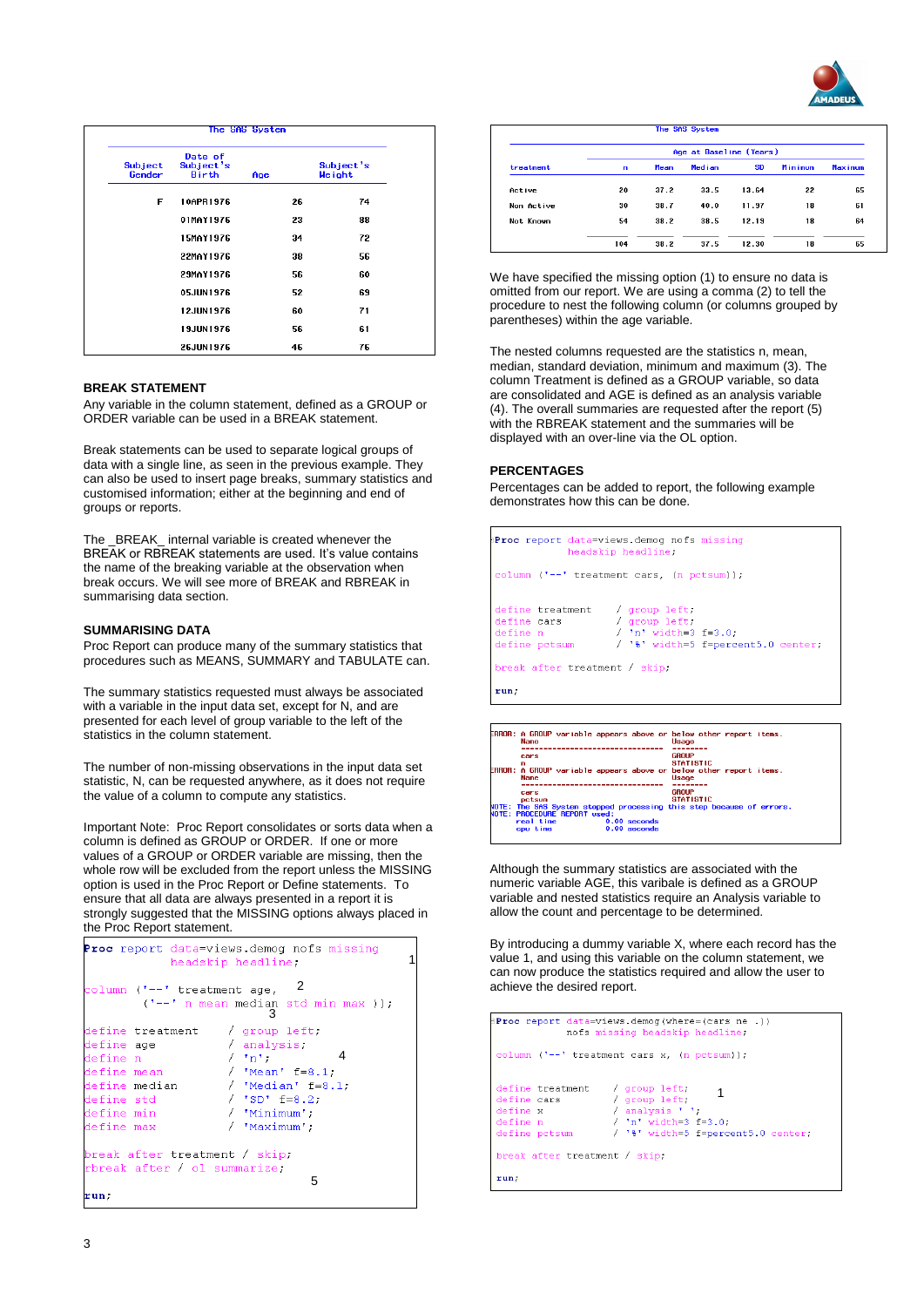

| <b>Subject</b><br>Gender | Date of<br>Subject's<br>Birth | Age |    | Subject's<br>We ight |
|--------------------------|-------------------------------|-----|----|----------------------|
| F                        | 10APR1976                     |     | 26 | 74                   |
|                          | 01MAY1976                     |     | 23 | 88                   |
|                          | 15MAY1976                     |     | 34 | 72                   |
|                          | 22MAY1976                     |     | 38 | 56                   |
|                          | 29MAY1976                     |     | 56 | 60                   |
|                          | 05JUN1976                     |     | 52 | 69                   |
|                          | 12JUN1976                     |     | 60 | 71                   |
|                          | 19JUN1976                     |     | 56 | 61                   |
|                          | 26.IIIN1976                   |     | 46 | 76                   |

### **BREAK STATEMENT**

Any variable in the column statement, defined as a GROUP or ORDER variable can be used in a BREAK statement.

Break statements can be used to separate logical groups of data with a single line, as seen in the previous example. They can also be used to insert page breaks, summary statistics and customised information; either at the beginning and end of groups or reports.

The \_BREAK\_ internal variable is created whenever the BREAK or RBREAK statements are used. It's value contains the name of the breaking variable at the observation when break occurs. We will see more of BREAK and RBREAK in summarising data section.

### **SUMMARISING DATA**

Proc Report can produce many of the summary statistics that procedures such as MEANS, SUMMARY and TABULATE can.

The summary statistics requested must always be associated with a variable in the input data set, except for N, and are presented for each level of group variable to the left of the statistics in the column statement.

The number of non-missing observations in the input data set statistic, N, can be requested anywhere, as it does not require the value of a column to compute any statistics.

Important Note: Proc Report consolidates or sorts data when a column is defined as GROUP or ORDER. If one or more values of a GROUP or ORDER variable are missing, then the whole row will be excluded from the report unless the MISSING option is used in the Proc Report or Define statements. To ensure that all data are always presented in a report it is strongly suggested that the MISSING options always placed in the Proc Report statement.

|            |                                   | headskip headline;                                                                                                                                                                                                                                                                                                                                                                   | <b>Proc</b> report data=views.demog nofs missing                   | 1 |
|------------|-----------------------------------|--------------------------------------------------------------------------------------------------------------------------------------------------------------------------------------------------------------------------------------------------------------------------------------------------------------------------------------------------------------------------------------|--------------------------------------------------------------------|---|
|            | column $('--' treatment age)$     |                                                                                                                                                                                                                                                                                                                                                                                      | $\overline{\phantom{0}}^2$<br>$('--' n mean median std min max)$ ; |   |
|            | define treatment / group left;    |                                                                                                                                                                                                                                                                                                                                                                                      |                                                                    |   |
| define age |                                   | / analysis.                                                                                                                                                                                                                                                                                                                                                                          |                                                                    |   |
| define n   |                                   | $/$ 'n' $-$                                                                                                                                                                                                                                                                                                                                                                          | 4                                                                  |   |
|            | define mean                       | / $"Mean"f=8.1;$                                                                                                                                                                                                                                                                                                                                                                     |                                                                    |   |
|            | define median $/$ 'Median' f=8.1; |                                                                                                                                                                                                                                                                                                                                                                                      |                                                                    |   |
| define std |                                   | $/$ 'SD' $E=8.2$ ;                                                                                                                                                                                                                                                                                                                                                                   |                                                                    |   |
| define min |                                   | $\overline{a}$ $\overline{b}$ $\overline{b}$ $\overline{c}$ $\overline{c}$ $\overline{c}$ $\overline{c}$ $\overline{c}$ $\overline{c}$ $\overline{c}$ $\overline{c}$ $\overline{c}$ $\overline{c}$ $\overline{c}$ $\overline{c}$ $\overline{c}$ $\overline{c}$ $\overline{c}$ $\overline{c}$ $\overline{c}$ $\overline{c}$ $\overline{c}$ $\overline{c}$ $\overline{c}$ $\overline{$ |                                                                    |   |
| define max |                                   | / 'Maximum';                                                                                                                                                                                                                                                                                                                                                                         |                                                                    |   |
|            | break after treatment / skip;     |                                                                                                                                                                                                                                                                                                                                                                                      |                                                                    |   |
|            | rbreak after / ol summarize:      |                                                                                                                                                                                                                                                                                                                                                                                      | 5                                                                  |   |
| run,       |                                   |                                                                                                                                                                                                                                                                                                                                                                                      |                                                                    |   |

|            | Age at Baseline (Years) |      |        |           |         |                |  |
|------------|-------------------------|------|--------|-----------|---------|----------------|--|
| treatment  | n                       | Mean | Median | <b>SD</b> | Minimum | <b>Maxinum</b> |  |
| Active     | 20                      | 37.2 | 33.5   | 13.64     | 22      | 65             |  |
| Non Active | 30                      | 38.7 | 40.0   | 11.97     | 18      | 61             |  |
| Not Known  | 54                      | 38.2 | 38.5   | 12.19     | 18      | 64             |  |
|            | 104                     | 38.2 | 37.5   | 12.30     | 18      | 65             |  |

We have specified the missing option (1) to ensure no data is omitted from our report. We are using a comma (2) to tell the procedure to nest the following column (or columns grouped by parentheses) within the age variable.

The nested columns requested are the statistics n, mean, median, standard deviation, minimum and maximum (3). The column Treatment is defined as a GROUP variable, so data are consolidated and AGE is defined as an analysis variable (4). The overall summaries are requested after the report (5) with the RBREAK statement and the summaries will be displayed with an over-line via the OL option.

#### **PERCENTAGES**

Percentages can be added to report, the following example demonstrates how this can be done.

|                                                                                          | Proc report data=views.demog nofs missing<br>headskip headline; |
|------------------------------------------------------------------------------------------|-----------------------------------------------------------------|
|                                                                                          | column $('--' treatment cars, (n petsum))$ ;                    |
| define treatment / group left;<br>define cars / group left;<br>define n<br>define potsum | / $ln'$ width=3 $f=3.0$ ;<br>/ '%' width=5 f=percent5.0 center; |
| break after treatment / skip;<br>run;                                                    |                                                                 |



Although the summary statistics are associated with the numeric variable AGE, this varibale is defined as a GROUP variable and nested statistics require an Analysis variable to allow the count and percentage to be determined.

By introducing a dummy variable X, where each record has the value 1, and using this variable on the column statement, we can now produce the statistics required and allow the user to achieve the desired report.

```
Proc report data=views.demog(where=(cars ne.))
                nofs missing headskip headline;
column (1 - 1 + t treatment cars x_i (n pctsum));
                        / group left; <br>/ group left; <br>/ analysis ' ;<br>/ 'n' width=3 f=3.0;
define treatment
define cars
define cars<br>define x<br>define n
define n
                          / '%' width=5 f=percent5.0 center;
define potsum
break after treatment / skip;
run;
```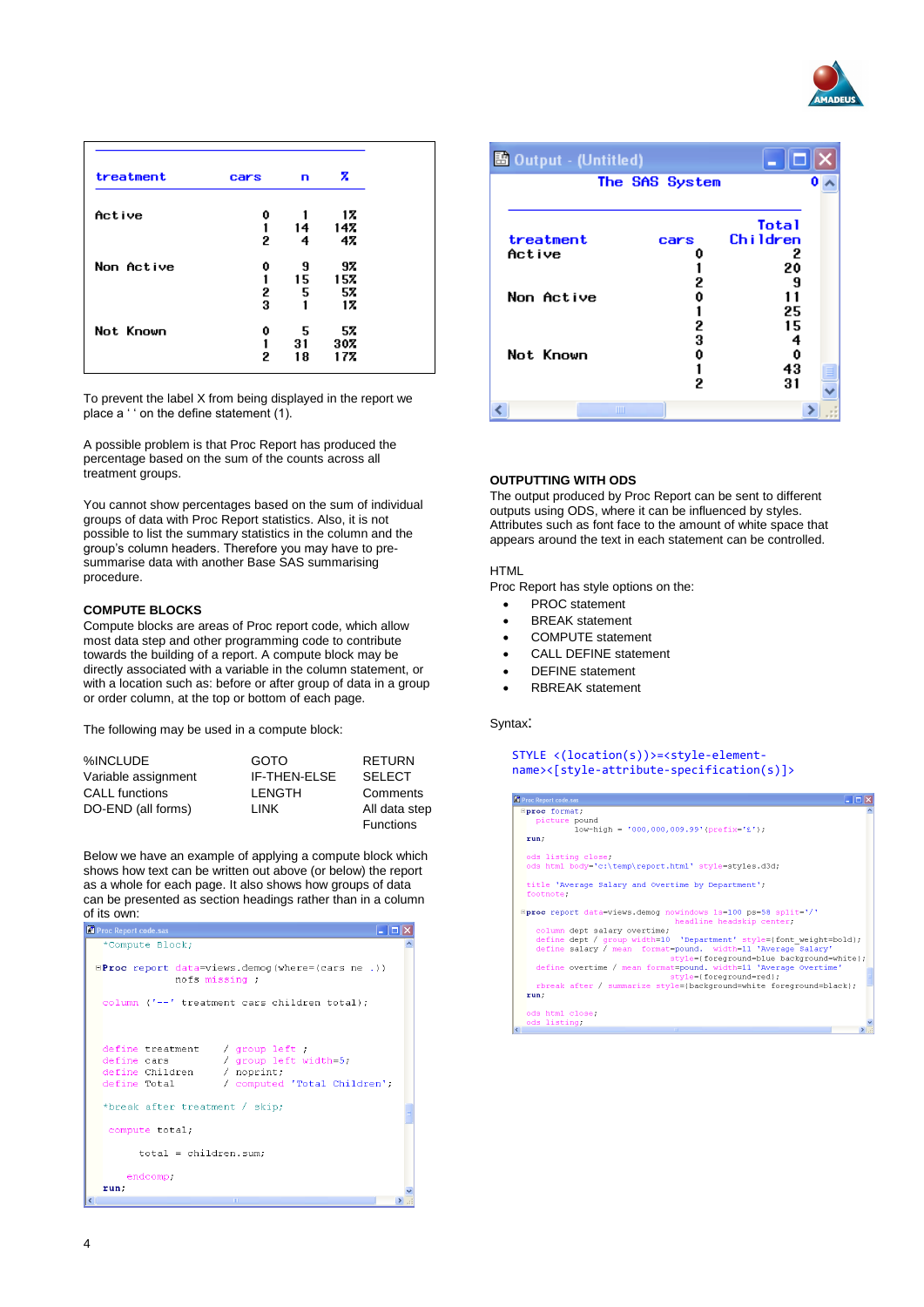

| treatment  | cars | n  | z   |
|------------|------|----|-----|
| Active     | 0    |    | 17  |
|            | 1    | 14 | 14% |
|            | 2    | 4  | 47  |
| Non Active | 0    | 9  | 97  |
|            | 1    | 15 | 157 |
|            | 2    | 5  | 57  |
|            | 3    | 1  | 17  |
| Not Known  | 0    | 5  | 57  |
|            | 1    | 31 | 307 |
|            | 2    | 18 | 17% |

To prevent the label X from being displayed in the report we place a ' ' on the define statement (1).

A possible problem is that Proc Report has produced the percentage based on the sum of the counts across all treatment groups.

You cannot show percentages based on the sum of individual groups of data with Proc Report statistics. Also, it is not possible to list the summary statistics in the column and the group's column headers. Therefore you may have to presummarise data with another Base SAS summarising procedure.

### **COMPUTE BLOCKS**

Compute blocks are areas of Proc report code, which allow most data step and other programming code to contribute towards the building of a report. A compute block may be directly associated with a variable in the column statement, or with a location such as: before or after group of data in a group or order column, at the top or bottom of each page.

The following may be used in a compute block:

| %INCLUDE              | <b>GOTO</b>   | <b>RETURN</b>                     |
|-----------------------|---------------|-----------------------------------|
| Variable assignment   | IF-THEN-ELSE  | <b>SELECT</b>                     |
| <b>CALL functions</b> | <b>LENGTH</b> | Comments                          |
| DO-END (all forms)    | I INK         | All data step<br><b>Functions</b> |

Below we have an example of applying a compute block which shows how text can be written out above (or below) the report as a whole for each page. It also shows how groups of data can be presented as section headings rather than in a column of its own:

| <b>EX</b> Proc Report code.sas                                                                                                                                                          |  |
|-----------------------------------------------------------------------------------------------------------------------------------------------------------------------------------------|--|
| *Compute Block;                                                                                                                                                                         |  |
| $EProc$ report data=views.demog(where=(cars ne.))<br>nofs missing;                                                                                                                      |  |
| column ('--' treatment cars children total);                                                                                                                                            |  |
| define treatment / group left ;<br>/ group left width=5;<br>define cars<br>define Children / noprint;<br>define Total<br>/ computed 'Total Children';<br>*break after treatment / skip; |  |
| compute total;                                                                                                                                                                          |  |
| $total = children.sum;$                                                                                                                                                                 |  |
| endcomp.                                                                                                                                                                                |  |
| run,                                                                                                                                                                                    |  |
| m<br>$\left\langle \right\rangle$                                                                                                                                                       |  |

| 图 Output - (Untitled) |                | - 10         |  |
|-----------------------|----------------|--------------|--|
|                       | The SAS System |              |  |
|                       |                | <b>Total</b> |  |
| treatment             | cars           | Children     |  |
| Active                |                | 2            |  |
|                       |                | 20           |  |
|                       | 2              | -9           |  |
| Non Active            | Û              | 11           |  |
|                       |                | 25           |  |
|                       | 2              | 15           |  |
|                       | 3              | 4            |  |
| Not Known             | 0              | 0            |  |
|                       |                | 43           |  |
|                       | 2              | 31           |  |
| ШI                    |                |              |  |

## **OUTPUTTING WITH ODS**

The output produced by Proc Report can be sent to different outputs using ODS, where it can be influenced by styles. Attributes such as font face to the amount of white space that appears around the text in each statement can be controlled.

## HTML

Proc Report has style options on the:

- PROC statement
- **BREAK** statement
- COMPUTE statement
- CALL DEFINE statement
- DEFINE statement
- RBREAK statement

#### Syntax:

#### STYLE <(location(s))>=<style-elementname><[style-attribute-specification(s)]>

| Proc Report code.sas                                                                           | $\blacksquare$ $\Box$ $\mathsf{X}$        |
|------------------------------------------------------------------------------------------------|-------------------------------------------|
| <b>Eproc</b> format;<br>picture pound                                                          |                                           |
| $low$ -high = '000,000,009.99' (prefix='£');                                                   |                                           |
| run:                                                                                           |                                           |
|                                                                                                |                                           |
| ods listing close;                                                                             |                                           |
| ods html body='c:\temp\report.html' style=styles.d3d;                                          |                                           |
|                                                                                                |                                           |
| title 'Average Salary and Overtime by Department';                                             |                                           |
| footnote:                                                                                      |                                           |
|                                                                                                |                                           |
| $E$ proc report data=views.demog nowindows 1s=100 ps=58 split='/'<br>headline headskip center; |                                           |
| column dept salary overtime;                                                                   |                                           |
| define dept / group width=10 'Department' style=(font weight=bold);                            |                                           |
| define salary / mean format=pound. width=11 'Average Salary'                                   |                                           |
|                                                                                                | style={foreground=blue background=white}; |
| define overtime / mean format=pound. width=11 'Average Overtime'                               |                                           |
| style={foreground=red};                                                                        |                                           |
| rbreak after / summarize style=(background=white foreground=black);                            |                                           |
| run;                                                                                           |                                           |
|                                                                                                |                                           |
| ods html close;                                                                                |                                           |
| ods listing;                                                                                   |                                           |
| <b>TILL</b>                                                                                    |                                           |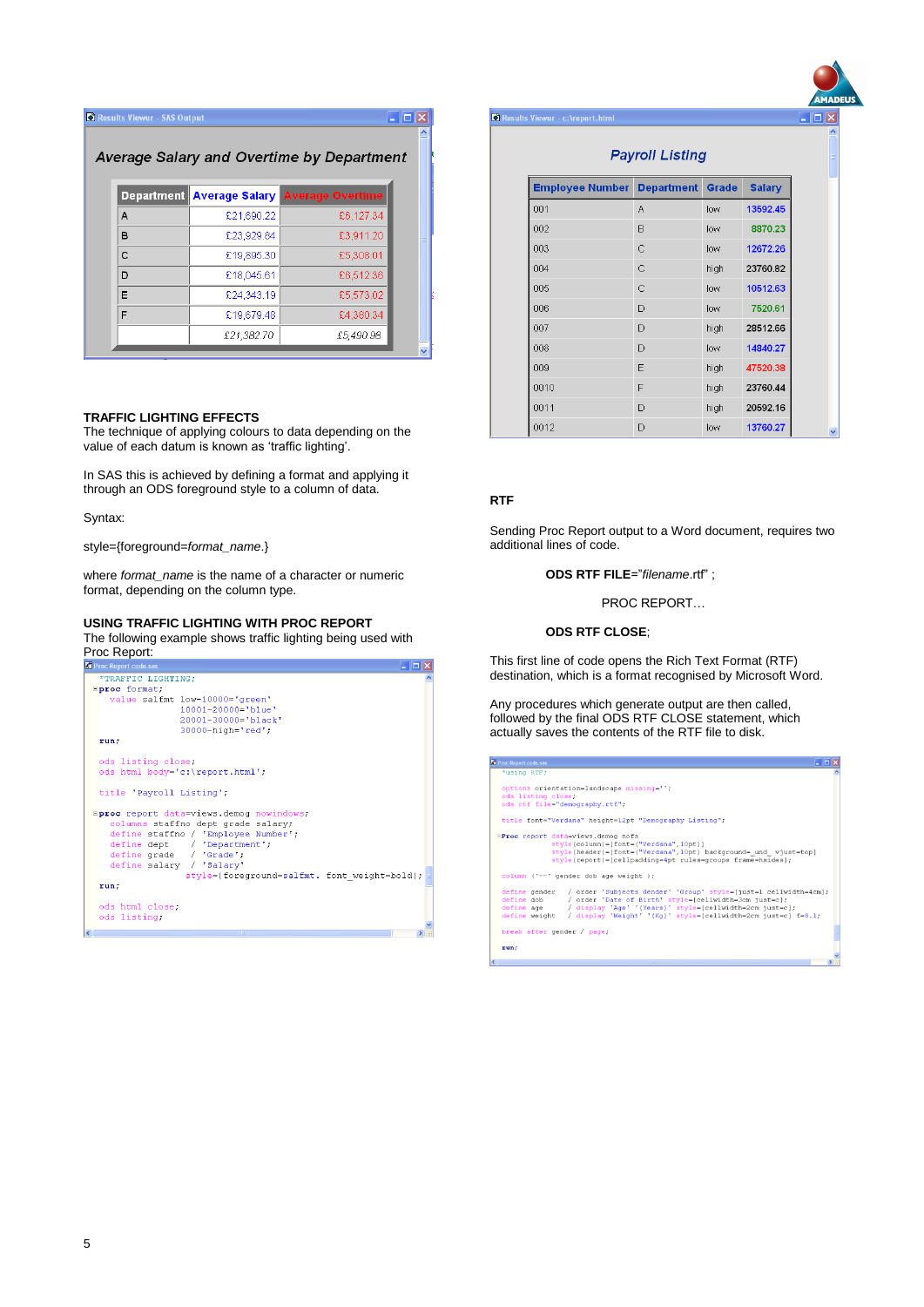| Results Viewer - SAS Output |            |                                            |  |
|-----------------------------|------------|--------------------------------------------|--|
|                             |            | Average Salary and Overtime by Department  |  |
|                             |            | Department Average Salary Average Overtime |  |
| A                           | £21,690.22 | £6,127.34                                  |  |
| в                           | £23,929.84 | £3,911.20                                  |  |
| c                           | £19,895.30 | £5,308.01                                  |  |
| D                           | £18,045.61 | £6,512.36                                  |  |
| Е                           | £24,343.19 | £5,573.02                                  |  |
| F                           | £19,679.48 | £4,380.34                                  |  |
|                             | £21,382.70 | £5,490.98                                  |  |

#### **TRAFFIC LIGHTING EFFECTS**

The technique of applying colours to data depending on the value of each datum is known as 'traffic lighting'.

In SAS this is achieved by defining a format and applying it through an ODS foreground style to a column of data.

Syntax:

style={foreground=*format\_name*.}

where *format\_name* is the name of a character or numeric format, depending on the column type.

## **USING TRAFFIC LIGHTING WITH PROC REPORT**

The following example shows traffic lighting being used with **Proc Report:**<br>**E** Proc Report code.sa



| • Results Viewer - c:\report.html       |              |      |               |
|-----------------------------------------|--------------|------|---------------|
| <b>Payroll Listing</b>                  |              |      |               |
| <b>Employee Number Department Grade</b> |              |      | <b>Salary</b> |
| 001                                     | A            | low  | 13592.45      |
| 002                                     | B            | low  | 8870.23       |
| 003                                     | C            | low  | 12672.26      |
| 004                                     | C            | high | 23760.82      |
| 005                                     | C            | low  | 10512.63      |
| 006                                     | D            | low  | 7520.61       |
| 007                                     | D            | high | 28512.66      |
| 008                                     | D            | low  | 14840.27      |
| 009                                     | E            | high | 47520.38      |
| 0010                                    | F            | high | 23760.44      |
| 0011                                    | D            | high | 20592.16      |
| 0012                                    | $\mathsf{D}$ | low  | 13760.27      |

## **RTF**

Sending Proc Report output to a Word document, requires two additional lines of code.

**ODS RTF FILE**="*filename*.rtf" ;

PROC REPORT…

#### **ODS RTF CLOSE**;

This first line of code opens the Rich Text Format (RTF) destination, which is a format recognised by Microsoft Word.

Any procedures which generate output are then called, followed by the final ODS RTF CLOSE statement, which actually saves the contents of the RTF file to disk.

| <b>K</b> Proc Report code.sas                                                                                                                                                                                                                                                                          | $ \Box$ $\times$ |
|--------------------------------------------------------------------------------------------------------------------------------------------------------------------------------------------------------------------------------------------------------------------------------------------------------|------------------|
| *using RTF;                                                                                                                                                                                                                                                                                            |                  |
| options orientation=landscape missing='';<br>ods listing close.<br>ods rtf file="demography.rtf";                                                                                                                                                                                                      |                  |
| title font="Verdana" height=12pt "Demography Listing";                                                                                                                                                                                                                                                 |                  |
| EProc report data=views.demog nofs<br>style(column)=[font=("Verdana", 10pt)]<br>style(header)=[font=("Verdana",10pt) background= und vjust=top]<br>$style(report) = [cellpadding=4pt rules=groups frame=hsides];$                                                                                      |                  |
| column ('--' gender dob age weight );                                                                                                                                                                                                                                                                  |                  |
| define gender / order 'Subjects Gender' 'Group' style=[just=1 cellwidth=4cm];<br>define dob / order 'Date of Birth' style=[cellwidth=3cm just=c];<br>define age / display 'Age' '(Years)' style=[cellwidth=2cm just=c];<br>define weight / display 'Weight' '(Kg)' style=[cellwidth=2cm just=c] f=8.1; |                  |
| break after gender / page;                                                                                                                                                                                                                                                                             |                  |
| run;                                                                                                                                                                                                                                                                                                   |                  |
|                                                                                                                                                                                                                                                                                                        |                  |